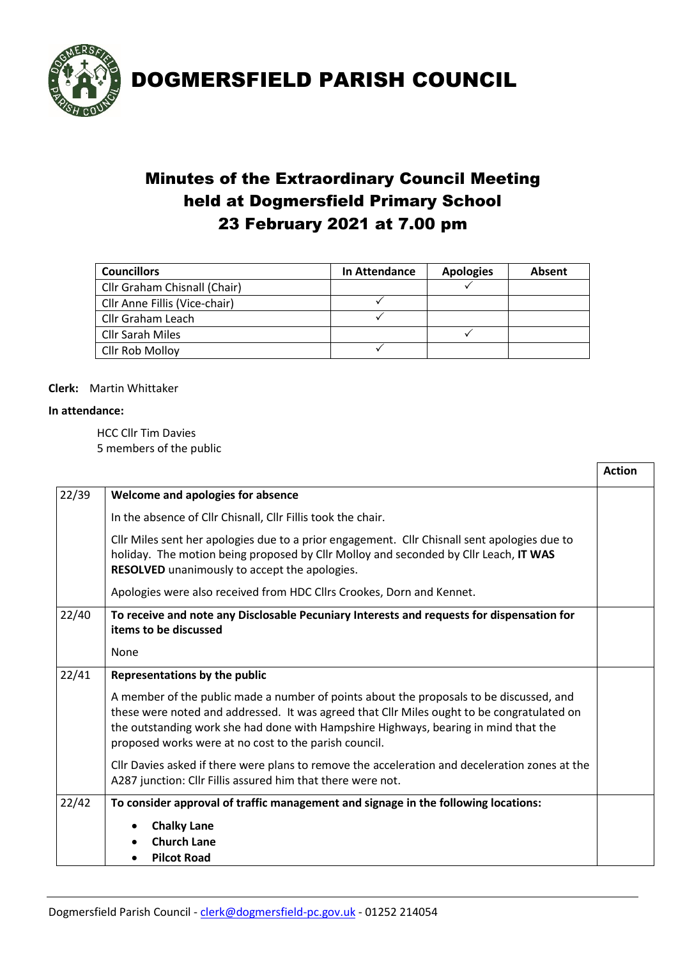

DOGMERSFIELD PARISH COUNCIL

## Minutes of the Extraordinary Council Meeting held at Dogmersfield Primary School 23 February 2021 at 7.00 pm

| <b>Councillors</b>            | In Attendance | <b>Apologies</b> | Absent |
|-------------------------------|---------------|------------------|--------|
| Cllr Graham Chisnall (Chair)  |               |                  |        |
| Cllr Anne Fillis (Vice-chair) |               |                  |        |
| Cllr Graham Leach             |               |                  |        |
| Cllr Sarah Miles              |               |                  |        |
| Cllr Rob Molloy               |               |                  |        |

#### **Clerk:** Martin Whittaker

#### **In attendance:**

HCC Cllr Tim Davies 5 members of the public

| 22/39 | Welcome and apologies for absence                                                                                                                                                                                                                                                                                                     |  |  |
|-------|---------------------------------------------------------------------------------------------------------------------------------------------------------------------------------------------------------------------------------------------------------------------------------------------------------------------------------------|--|--|
|       | In the absence of Cllr Chisnall, Cllr Fillis took the chair.                                                                                                                                                                                                                                                                          |  |  |
|       | Cllr Miles sent her apologies due to a prior engagement. Cllr Chisnall sent apologies due to<br>holiday. The motion being proposed by Cllr Molloy and seconded by Cllr Leach, IT WAS<br>RESOLVED unanimously to accept the apologies.                                                                                                 |  |  |
|       | Apologies were also received from HDC Cllrs Crookes, Dorn and Kennet.                                                                                                                                                                                                                                                                 |  |  |
| 22/40 | To receive and note any Disclosable Pecuniary Interests and requests for dispensation for<br>items to be discussed                                                                                                                                                                                                                    |  |  |
|       | None                                                                                                                                                                                                                                                                                                                                  |  |  |
| 22/41 | Representations by the public                                                                                                                                                                                                                                                                                                         |  |  |
|       | A member of the public made a number of points about the proposals to be discussed, and<br>these were noted and addressed. It was agreed that Cllr Miles ought to be congratulated on<br>the outstanding work she had done with Hampshire Highways, bearing in mind that the<br>proposed works were at no cost to the parish council. |  |  |
|       | Cllr Davies asked if there were plans to remove the acceleration and deceleration zones at the<br>A287 junction: Cllr Fillis assured him that there were not.                                                                                                                                                                         |  |  |
| 22/42 | To consider approval of traffic management and signage in the following locations:                                                                                                                                                                                                                                                    |  |  |
|       | <b>Chalky Lane</b>                                                                                                                                                                                                                                                                                                                    |  |  |
|       | <b>Church Lane</b>                                                                                                                                                                                                                                                                                                                    |  |  |
|       | <b>Pilcot Road</b>                                                                                                                                                                                                                                                                                                                    |  |  |

**Action**